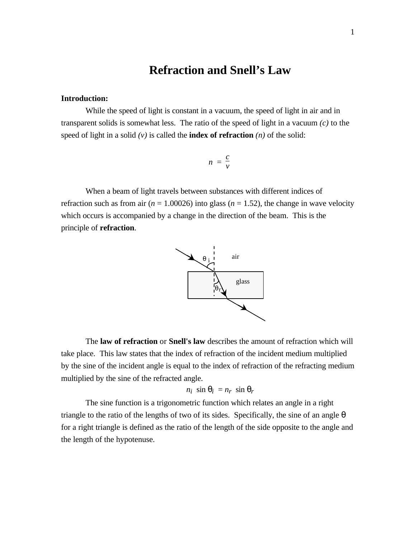### **Refraction and Snell's Law**

#### **Introduction:**

While the speed of light is constant in a vacuum, the speed of light in air and in transparent solids is somewhat less. The ratio of the speed of light in a vacuum *(c)* to the speed of light in a solid  $(v)$  is called the **index of refraction**  $(n)$  of the solid:

$$
n = \frac{c}{v}
$$

When a beam of light travels between substances with different indices of refraction such as from air ( $n = 1.00026$ ) into glass ( $n = 1.52$ ), the change in wave velocity which occurs is accompanied by a change in the direction of the beam. This is the principle of **refraction**.



The **law of refraction** or **Snell's law** describes the amount of refraction which will take place. This law states that the index of refraction of the incident medium multiplied by the sine of the incident angle is equal to the index of refraction of the refracting medium multiplied by the sine of the refracted angle.

$$
n_i \sin q_i = n_r \sin q_r
$$

The sine function is a trigonometric function which relates an angle in a right triangle to the ratio of the lengths of two of its sides. Specifically, the sine of an angle *q* for a right triangle is defined as the ratio of the length of the side opposite to the angle and the length of the hypotenuse.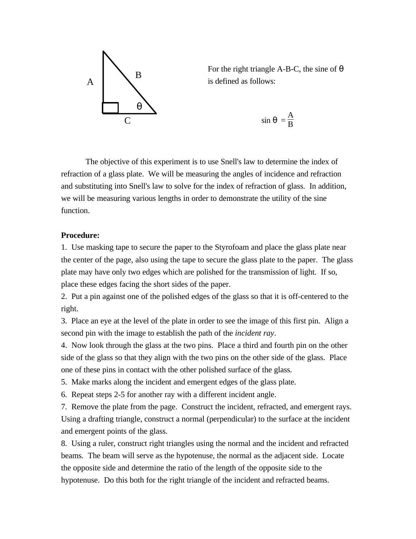

For the right triangle A-B-C, the sine of *q* is defined as follows:

$$
\sin q = \frac{A}{B}
$$

The objective of this experiment is to use Snell's law to determine the index of refraction of a glass plate. We will be measuring the angles of incidence and refraction and substituting into Snell's law to solve for the index of refraction of glass. In addition, we will be measuring various lengths in order to demonstrate the utility of the sine function.

#### **Procedure:**

1. Use masking tape to secure the paper to the Styrofoam and place the glass plate near the center of the page, also using the tape to secure the glass plate to the paper. The glass plate may have only two edges which are polished for the transmission of light. If so, place these edges facing the short sides of the paper.

2. Put a pin against one of the polished edges of the glass so that it is off-centered to the right.

3. Place an eye at the level of the plate in order to see the image of this first pin. Align a second pin with the image to establish the path of the *incident ray*.

4. Now look through the glass at the two pins. Place a third and fourth pin on the other side of the glass so that they align with the two pins on the other side of the glass. Place one of these pins in contact with the other polished surface of the glass.

5. Make marks along the incident and emergent edges of the glass plate.

6. Repeat steps 2-5 for another ray with a different incident angle.

7. Remove the plate from the page. Construct the incident, refracted, and emergent rays. Using a drafting triangle, construct a normal (perpendicular) to the surface at the incident and emergent points of the glass.

8. Using a ruler, construct right triangles using the normal and the incident and refracted beams. The beam will serve as the hypotenuse, the normal as the adjacent side. Locate the opposite side and determine the ratio of the length of the opposite side to the hypotenuse. Do this both for the right triangle of the incident and refracted beams.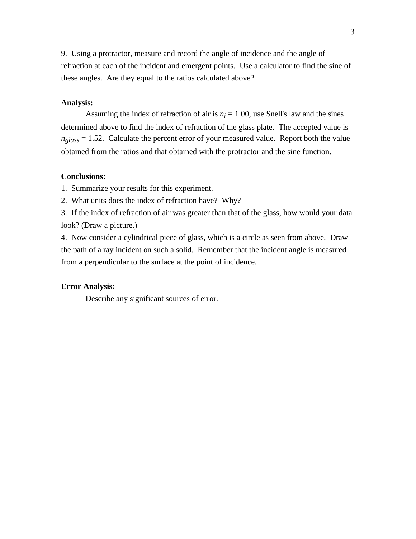9. Using a protractor, measure and record the angle of incidence and the angle of refraction at each of the incident and emergent points. Use a calculator to find the sine of these angles. Are they equal to the ratios calculated above?

#### **Analysis:**

Assuming the index of refraction of air is  $n_i = 1.00$ , use Snell's law and the sines determined above to find the index of refraction of the glass plate. The accepted value is  $n_{glass} = 1.52$ . Calculate the percent error of your measured value. Report both the value obtained from the ratios and that obtained with the protractor and the sine function.

#### **Conclusions:**

1. Summarize your results for this experiment.

2. What units does the index of refraction have? Why?

3. If the index of refraction of air was greater than that of the glass, how would your data look? (Draw a picture.)

4. Now consider a cylindrical piece of glass, which is a circle as seen from above. Draw the path of a ray incident on such a solid. Remember that the incident angle is measured from a perpendicular to the surface at the point of incidence.

#### **Error Analysis:**

Describe any significant sources of error.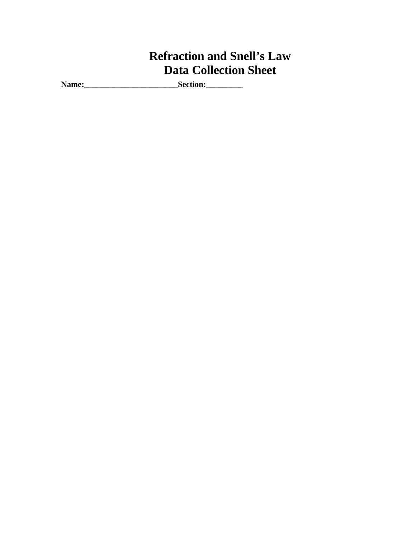## **Refraction and Snell's Law Data Collection Sheet**

**Name:\_\_\_\_\_\_\_\_\_\_\_\_\_\_\_\_\_\_\_\_\_\_\_Section:\_\_\_\_\_\_\_\_\_**